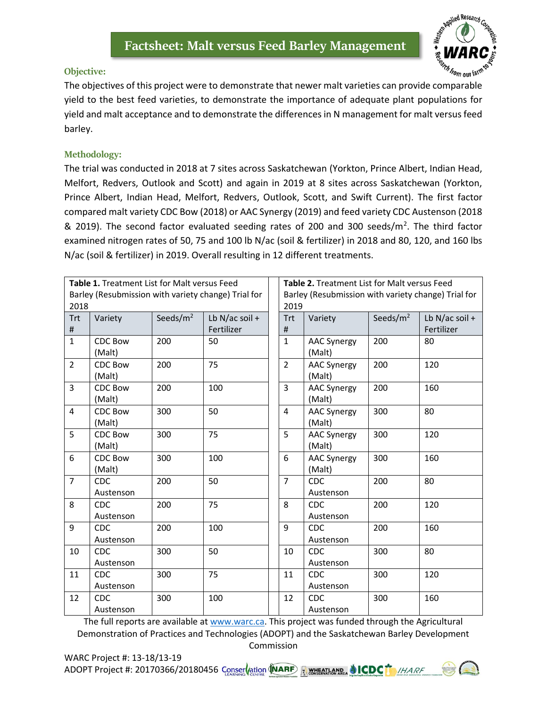

## **Objective:**

The objectives of this project were to demonstrate that newer malt varieties can provide comparable yield to the best feed varieties, to demonstrate the importance of adequate plant populations for yield and malt acceptance and to demonstrate the differences in N management for malt versus feed barley.

## **Methodology:**

The trial was conducted in 2018 at 7 sites across Saskatchewan (Yorkton, Prince Albert, Indian Head, Melfort, Redvers, Outlook and Scott) and again in 2019 at 8 sites across Saskatchewan (Yorkton, Prince Albert, Indian Head, Melfort, Redvers, Outlook, Scott, and Swift Current). The first factor compared malt variety CDC Bow (2018) or AAC Synergy (2019) and feed variety CDC Austenson (2018 & 2019). The second factor evaluated seeding rates of 200 and 300 seeds/m<sup>2</sup>. The third factor examined nitrogen rates of 50, 75 and 100 lb N/ac (soil & fertilizer) in 2018 and 80, 120, and 160 lbs N/ac (soil & fertilizer) in 2019. Overall resulting in 12 different treatments.

| 2018            | Table 1. Treatment List for Malt versus Feed |             | Barley (Resubmission with variety change) Trial for |                | Table 2. Treatment List for Malt versus Feed<br>Barley (Resubmission with variety change) Trial for<br>2019 |             |                                |  |  |
|-----------------|----------------------------------------------|-------------|-----------------------------------------------------|----------------|-------------------------------------------------------------------------------------------------------------|-------------|--------------------------------|--|--|
| <b>Trt</b><br># | Variety                                      | Seeds/ $m2$ | Lb N/ac soil $+$<br>Fertilizer                      | Trt<br>#       | Variety                                                                                                     | Seeds/ $m2$ | Lb N/ac soil $+$<br>Fertilizer |  |  |
| $\overline{1}$  | <b>CDC Bow</b><br>(Malt)                     | 200         | 50                                                  | $\mathbf{1}$   | <b>AAC Synergy</b><br>(Malt)                                                                                | 200         | 80                             |  |  |
| $\overline{2}$  | <b>CDC Bow</b><br>(Malt)                     | 200         | 75                                                  | $\overline{2}$ | <b>AAC Synergy</b><br>(Malt)                                                                                | 200         | 120                            |  |  |
| 3               | <b>CDC Bow</b><br>(Malt)                     | 200         | 100                                                 | $\overline{3}$ | <b>AAC Synergy</b><br>(Malt)                                                                                | 200         | 160                            |  |  |
| $\overline{4}$  | <b>CDC Bow</b><br>(Malt)                     | 300         | 50                                                  | $\overline{4}$ | <b>AAC Synergy</b><br>(Malt)                                                                                | 300         | 80                             |  |  |
| 5               | <b>CDC Bow</b><br>(Malt)                     | 300         | 75                                                  | 5              | <b>AAC Synergy</b><br>(Malt)                                                                                | 300         | 120                            |  |  |
| 6               | <b>CDC Bow</b><br>(Malt)                     | 300         | 100                                                 | 6              | <b>AAC Synergy</b><br>(Malt)                                                                                | 300         | 160                            |  |  |
| $\overline{7}$  | <b>CDC</b><br>Austenson                      | 200         | 50                                                  | $\overline{7}$ | CDC.<br>Austenson                                                                                           | 200         | 80                             |  |  |
| 8               | <b>CDC</b><br>Austenson                      | 200         | 75                                                  | 8              | <b>CDC</b><br>Austenson                                                                                     | 200         | 120                            |  |  |
| 9               | <b>CDC</b><br>Austenson                      | 200         | 100                                                 | 9              | <b>CDC</b><br>Austenson                                                                                     | 200         | 160                            |  |  |
| 10              | <b>CDC</b><br>Austenson                      | 300         | 50                                                  | 10             | CDC<br>Austenson                                                                                            | 300         | 80                             |  |  |
| 11              | <b>CDC</b><br>Austenson                      | 300         | 75                                                  | 11             | <b>CDC</b><br>Austenson                                                                                     | 300         | 120                            |  |  |
| 12              | <b>CDC</b><br>Austenson                      | 300         | 100                                                 | 12             | <b>CDC</b><br>Austenson                                                                                     | 300         | 160                            |  |  |

The full reports are available at [www.warc.ca.](http://www.warc.ca/) This project was funded through the Agricultural Demonstration of Practices and Technologies (ADOPT) and the Saskatchewan Barley Development Commission

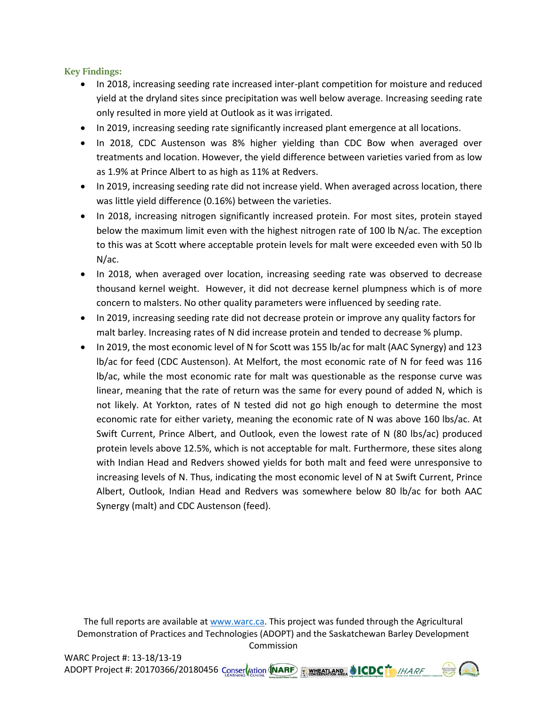**Key Findings:**

- In 2018, increasing seeding rate increased inter-plant competition for moisture and reduced yield at the dryland sites since precipitation was well below average. Increasing seeding rate only resulted in more yield at Outlook as it was irrigated.
- In 2019, increasing seeding rate significantly increased plant emergence at all locations.
- In 2018, CDC Austenson was 8% higher yielding than CDC Bow when averaged over treatments and location. However, the yield difference between varieties varied from as low as 1.9% at Prince Albert to as high as 11% at Redvers.
- In 2019, increasing seeding rate did not increase yield. When averaged across location, there was little yield difference (0.16%) between the varieties.
- In 2018, increasing nitrogen significantly increased protein. For most sites, protein stayed below the maximum limit even with the highest nitrogen rate of 100 lb N/ac. The exception to this was at Scott where acceptable protein levels for malt were exceeded even with 50 lb N/ac.
- In 2018, when averaged over location, increasing seeding rate was observed to decrease thousand kernel weight. However, it did not decrease kernel plumpness which is of more concern to malsters. No other quality parameters were influenced by seeding rate.
- In 2019, increasing seeding rate did not decrease protein or improve any quality factors for malt barley. Increasing rates of N did increase protein and tended to decrease % plump.
- In 2019, the most economic level of N for Scott was 155 lb/ac for malt (AAC Synergy) and 123 lb/ac for feed (CDC Austenson). At Melfort, the most economic rate of N for feed was 116 lb/ac, while the most economic rate for malt was questionable as the response curve was linear, meaning that the rate of return was the same for every pound of added N, which is not likely. At Yorkton, rates of N tested did not go high enough to determine the most economic rate for either variety, meaning the economic rate of N was above 160 lbs/ac. At Swift Current, Prince Albert, and Outlook, even the lowest rate of N (80 lbs/ac) produced protein levels above 12.5%, which is not acceptable for malt. Furthermore, these sites along with Indian Head and Redvers showed yields for both malt and feed were unresponsive to increasing levels of N. Thus, indicating the most economic level of N at Swift Current, Prince Albert, Outlook, Indian Head and Redvers was somewhere below 80 lb/ac for both AAC Synergy (malt) and CDC Austenson (feed).

The full reports are available at [www.warc.ca.](http://www.warc.ca/) This project was funded through the Agricultural Demonstration of Practices and Technologies (ADOPT) and the Saskatchewan Barley Development Commission